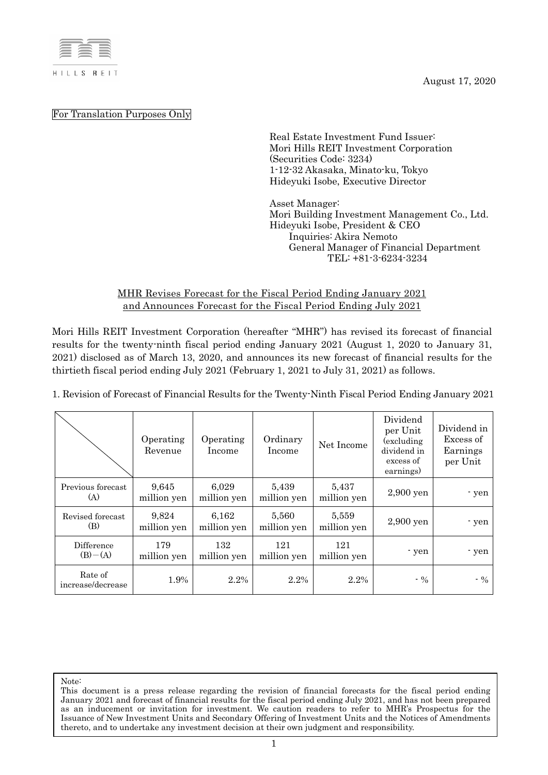

August 17, 2020

For Translation Purposes Only

Real Estate Investment Fund Issuer: Mori Hills REIT Investment Corporation (Securities Code: 3234) 1-12-32 Akasaka, Minato-ku, Tokyo Hideyuki Isobe, Executive Director

Asset Manager: Mori Building Investment Management Co., Ltd. Hideyuki Isobe, President & CEO Inquiries: Akira Nemoto General Manager of Financial Department TEL: +81-3-6234-3234

## MHR Revises Forecast for the Fiscal Period Ending January 2021 and Announces Forecast for the Fiscal Period Ending July 2021

Mori Hills REIT Investment Corporation (hereafter "MHR") has revised its forecast of financial results for the twenty-ninth fiscal period ending January 2021 (August 1, 2020 to January 31, 2021) disclosed as of March 13, 2020, and announces its new forecast of financial results for the thirtieth fiscal period ending July 2021 (February 1, 2021 to July 31, 2021) as follows.

1. Revision of Forecast of Financial Results for the Twenty-Ninth Fiscal Period Ending January 2021

|                              | Operating<br>Revenue | Operating<br>Income  | Ordinary<br>Income   | Net Income           | Dividend<br>per Unit<br>(excluding)<br>dividend in<br>excess of<br>earnings) | Dividend in<br>Excess of<br>Earnings<br>per Unit |
|------------------------------|----------------------|----------------------|----------------------|----------------------|------------------------------------------------------------------------------|--------------------------------------------------|
| Previous forecast<br>(A)     | 9,645<br>million yen | 6,029<br>million yen | 5,439<br>million yen | 5,437<br>million yen | 2,900 yen                                                                    | - yen                                            |
| Revised forecast<br>(B)      | 9,824<br>million yen | 6.162<br>million yen | 5,560<br>million yen | 5,559<br>million yen | $2,900$ yen                                                                  | - yen                                            |
| Difference<br>$(B) - (A)$    | 179<br>million yen   | 132<br>million yen   | 121<br>million yen   | 121<br>million yen   | - yen                                                                        | - yen                                            |
| Rate of<br>increase/decrease | 1.9%                 | 2.2%                 | 2.2%                 | 2.2%                 | $-9/6$                                                                       | $-9/6$                                           |

Note: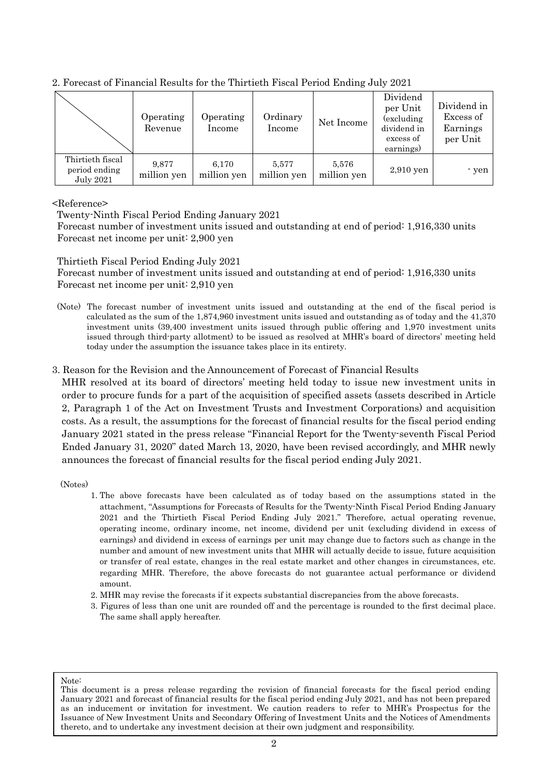|                                                       | Operating<br>Revenue | Operating<br>Income  | Ordinary<br>Income   | Net Income           | Dividend<br>per Unit<br>(excluding)<br>dividend in<br>excess of<br>earnings) | Dividend in<br>Excess of<br>Earnings<br>per Unit |
|-------------------------------------------------------|----------------------|----------------------|----------------------|----------------------|------------------------------------------------------------------------------|--------------------------------------------------|
| Thirtieth fiscal<br>period ending<br><b>July 2021</b> | 9.877<br>million yen | 6.170<br>million yen | 5.577<br>million yen | 5,576<br>million yen | $2,910$ yen                                                                  | - yen                                            |

2. Forecast of Financial Results for the Thirtieth Fiscal Period Ending July 2021

## <Reference>

Twenty-Ninth Fiscal Period Ending January 2021

Forecast number of investment units issued and outstanding at end of period: 1,916,330 units Forecast net income per unit: 2,900 yen

Thirtieth Fiscal Period Ending July 2021

Forecast number of investment units issued and outstanding at end of period: 1,916,330 units Forecast net income per unit: 2,910 yen

- (Note) The forecast number of investment units issued and outstanding at the end of the fiscal period is calculated as the sum of the 1,874,960 investment units issued and outstanding as of today and the 41,370 investment units (39,400 investment units issued through public offering and 1,970 investment units issued through third-party allotment) to be issued as resolved at MHR's board of directors' meeting held today under the assumption the issuance takes place in its entirety.
- 3. Reason for the Revision and the Announcement of Forecast of Financial Results

MHR resolved at its board of directors' meeting held today to issue new investment units in order to procure funds for a part of the acquisition of specified assets (assets described in Article 2, Paragraph 1 of the Act on Investment Trusts and Investment Corporations) and acquisition costs. As a result, the assumptions for the forecast of financial results for the fiscal period ending January 2021 stated in the press release "Financial Report for the Twenty-seventh Fiscal Period Ended January 31, 2020" dated March 13, 2020, have been revised accordingly, and MHR newly announces the forecast of financial results for the fiscal period ending July 2021.

(Notes)

- 1. The above forecasts have been calculated as of today based on the assumptions stated in the attachment, "Assumptions for Forecasts of Results for the Twenty-Ninth Fiscal Period Ending January 2021 and the Thirtieth Fiscal Period Ending July 2021." Therefore, actual operating revenue, operating income, ordinary income, net income, dividend per unit (excluding dividend in excess of earnings) and dividend in excess of earnings per unit may change due to factors such as change in the number and amount of new investment units that MHR will actually decide to issue, future acquisition or transfer of real estate, changes in the real estate market and other changes in circumstances, etc. regarding MHR. Therefore, the above forecasts do not guarantee actual performance or dividend amount.
- 2. MHR may revise the forecasts if it expects substantial discrepancies from the above forecasts.
- 3. Figures of less than one unit are rounded off and the percentage is rounded to the first decimal place. The same shall apply hereafter.

Note: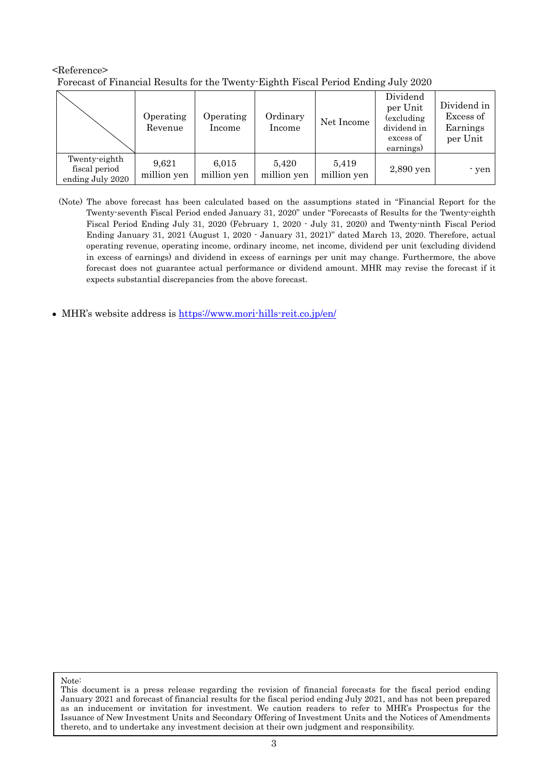|                                                    | Operating<br>Revenue | Operating<br>Income  | Ordinary<br>Income   | Net Income           | Dividend<br>per Unit<br>(excluding)<br>dividend in<br>excess of<br>earnings) | Dividend in<br>Excess of<br>Earnings<br>per Unit |
|----------------------------------------------------|----------------------|----------------------|----------------------|----------------------|------------------------------------------------------------------------------|--------------------------------------------------|
| Twenty-eighth<br>fiscal period<br>ending July 2020 | 9.621<br>million yen | 6.015<br>million yen | 5,420<br>million yen | 5,419<br>million yen | 2,890 yen                                                                    | - yen                                            |

<Reference> Forecast of Financial Results for the Twenty-Eighth Fiscal Period Ending July 2020

- (Note) The above forecast has been calculated based on the assumptions stated in "Financial Report for the Twenty-seventh Fiscal Period ended January 31, 2020" under "Forecasts of Results for the Twenty-eighth Fiscal Period Ending July 31, 2020 (February 1, 2020 - July 31, 2020) and Twenty-ninth Fiscal Period Ending January 31, 2021 (August 1, 2020 - January 31, 2021)" dated March 13, 2020. Therefore, actual operating revenue, operating income, ordinary income, net income, dividend per unit (excluding dividend in excess of earnings) and dividend in excess of earnings per unit may change. Furthermore, the above forecast does not guarantee actual performance or dividend amount. MHR may revise the forecast if it expects substantial discrepancies from the above forecast.
- MHR's website address is https://www.mori-hills-reit.co.jp/en/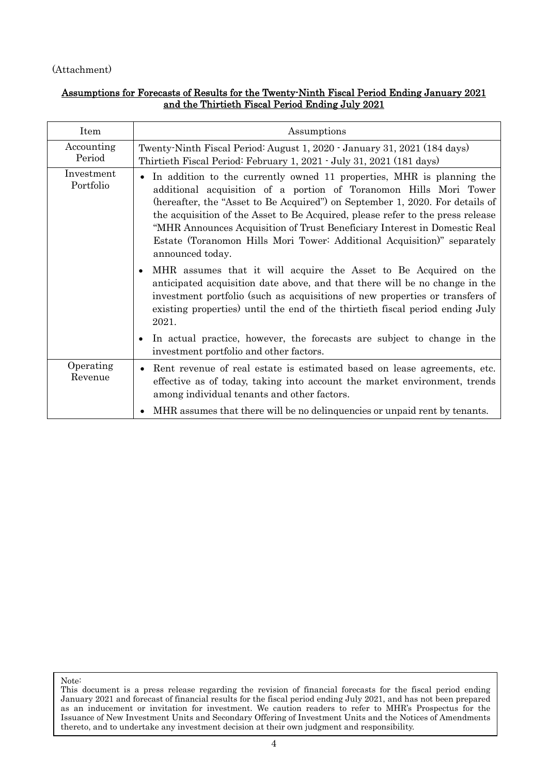## (Attachment)

## Assumptions for Forecasts of Results for the Twenty-Ninth Fiscal Period Ending January 2021 and the Thirtieth Fiscal Period Ending July 2021

| Item                    | Assumptions                                                                                                                                                                                                                                                                                                                                                                                                                                                                                                                                                                                                                                              |
|-------------------------|----------------------------------------------------------------------------------------------------------------------------------------------------------------------------------------------------------------------------------------------------------------------------------------------------------------------------------------------------------------------------------------------------------------------------------------------------------------------------------------------------------------------------------------------------------------------------------------------------------------------------------------------------------|
| Accounting<br>Period    | Twenty Ninth Fiscal Period: August 1, 2020 - January 31, 2021 (184 days)<br>Thirtieth Fiscal Period: February 1, 2021 - July 31, 2021 (181 days)                                                                                                                                                                                                                                                                                                                                                                                                                                                                                                         |
| Investment<br>Portfolio | In addition to the currently owned 11 properties, MHR is planning the<br>additional acquisition of a portion of Toranomon Hills Mori Tower<br>(hereafter, the "Asset to Be Acquired") on September 1, 2020. For details of<br>the acquisition of the Asset to Be Acquired, please refer to the press release<br>"MHR Announces Acquisition of Trust Beneficiary Interest in Domestic Real<br>Estate (Toranomon Hills Mori Tower: Additional Acquisition)" separately<br>announced today.<br>MHR assumes that it will acquire the Asset to Be Acquired on the<br>$\bullet$<br>anticipated acquisition date above, and that there will be no change in the |
|                         | investment portfolio (such as acquisitions of new properties or transfers of<br>existing properties) until the end of the thirtieth fiscal period ending July<br>2021.<br>In actual practice, however, the forecasts are subject to change in the<br>$\bullet$                                                                                                                                                                                                                                                                                                                                                                                           |
|                         | investment portfolio and other factors.                                                                                                                                                                                                                                                                                                                                                                                                                                                                                                                                                                                                                  |
| Operating<br>Revenue    | Rent revenue of real estate is estimated based on lease agreements, etc.<br>effective as of today, taking into account the market environment, trends<br>among individual tenants and other factors.                                                                                                                                                                                                                                                                                                                                                                                                                                                     |
|                         | MHR assumes that there will be no delinguencies or unpaid rent by tenants.                                                                                                                                                                                                                                                                                                                                                                                                                                                                                                                                                                               |

Note: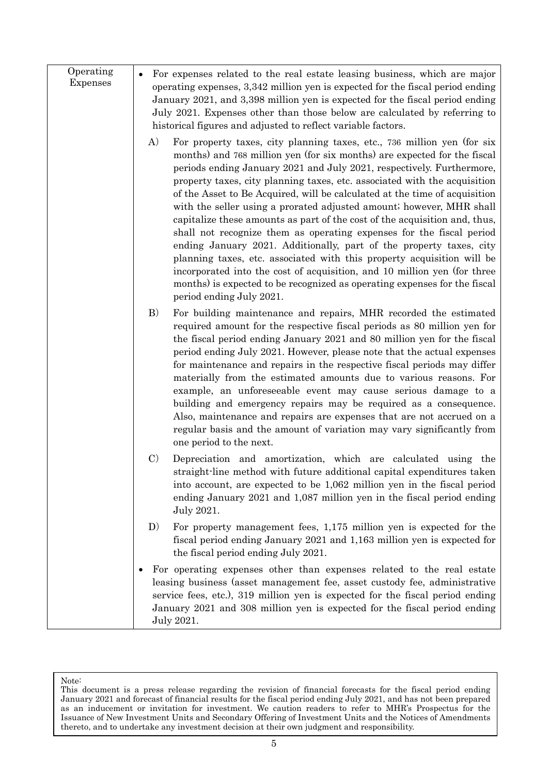| Operating<br><b>Expenses</b> | For expenses related to the real estate leasing business, which are major<br>operating expenses, 3,342 million yen is expected for the fiscal period ending<br>January 2021, and 3,398 million yen is expected for the fiscal period ending<br>July 2021. Expenses other than those below are calculated by referring to<br>historical figures and adjusted to reflect variable factors.                                                                                                                                                                                                                                                                                                                                                                                                                                                                                                                                                                          |
|------------------------------|-------------------------------------------------------------------------------------------------------------------------------------------------------------------------------------------------------------------------------------------------------------------------------------------------------------------------------------------------------------------------------------------------------------------------------------------------------------------------------------------------------------------------------------------------------------------------------------------------------------------------------------------------------------------------------------------------------------------------------------------------------------------------------------------------------------------------------------------------------------------------------------------------------------------------------------------------------------------|
|                              | A)<br>For property taxes, city planning taxes, etc., 736 million yen (for six<br>months) and 768 million yen (for six months) are expected for the fiscal<br>periods ending January 2021 and July 2021, respectively. Furthermore,<br>property taxes, city planning taxes, etc. associated with the acquisition<br>of the Asset to Be Acquired, will be calculated at the time of acquisition<br>with the seller using a prorated adjusted amount; however, MHR shall<br>capitalize these amounts as part of the cost of the acquisition and, thus,<br>shall not recognize them as operating expenses for the fiscal period<br>ending January 2021. Additionally, part of the property taxes, city<br>planning taxes, etc. associated with this property acquisition will be<br>incorporated into the cost of acquisition, and 10 million yen (for three<br>months) is expected to be recognized as operating expenses for the fiscal<br>period ending July 2021. |
|                              | B)<br>For building maintenance and repairs, MHR recorded the estimated<br>required amount for the respective fiscal periods as 80 million yen for<br>the fiscal period ending January 2021 and 80 million yen for the fiscal<br>period ending July 2021. However, please note that the actual expenses<br>for maintenance and repairs in the respective fiscal periods may differ<br>materially from the estimated amounts due to various reasons. For<br>example, an unforeseeable event may cause serious damage to a<br>building and emergency repairs may be required as a consequence.<br>Also, maintenance and repairs are expenses that are not accrued on a<br>regular basis and the amount of variation may vary significantly from<br>one period to the next.                                                                                                                                                                                           |
|                              | $\mathcal{C}$<br>Depreciation and amortization, which are calculated using the<br>straight-line method with future additional capital expenditures taken<br>into account, are expected to be 1,062 million yen in the fiscal period<br>ending January 2021 and 1,087 million yen in the fiscal period ending<br>July 2021.                                                                                                                                                                                                                                                                                                                                                                                                                                                                                                                                                                                                                                        |
|                              | For property management fees, 1,175 million yen is expected for the<br>D)<br>fiscal period ending January 2021 and 1,163 million yen is expected for<br>the fiscal period ending July 2021.                                                                                                                                                                                                                                                                                                                                                                                                                                                                                                                                                                                                                                                                                                                                                                       |
|                              | For operating expenses other than expenses related to the real estate<br>leasing business (asset management fee, asset custody fee, administrative<br>service fees, etc.), 319 million yen is expected for the fiscal period ending<br>January 2021 and 308 million yen is expected for the fiscal period ending<br>July 2021.                                                                                                                                                                                                                                                                                                                                                                                                                                                                                                                                                                                                                                    |

This document is a press release regarding the revision of financial forecasts for the fiscal period ending January 2021 and forecast of financial results for the fiscal period ending July 2021, and has not been prepared as an inducement or invitation for investment. We caution readers to refer to MHR's Prospectus for the Issuance of New Investment Units and Secondary Offering of Investment Units and the Notices of Amendments thereto, and to undertake any investment decision at their own judgment and responsibility.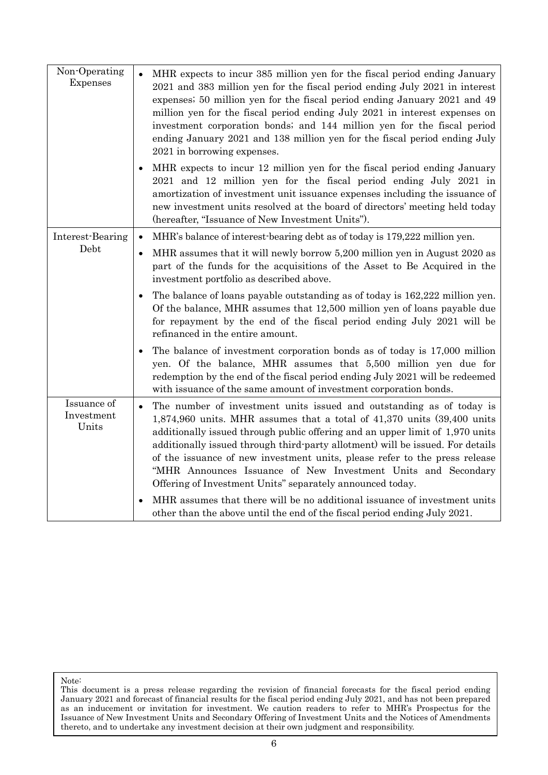| Non-Operating<br>Expenses          | MHR expects to incur 385 million yen for the fiscal period ending January<br>2021 and 383 million yen for the fiscal period ending July 2021 in interest<br>expenses; 50 million yen for the fiscal period ending January 2021 and 49<br>million yen for the fiscal period ending July 2021 in interest expenses on<br>investment corporation bonds; and 144 million yen for the fiscal period<br>ending January 2021 and 138 million yen for the fiscal period ending July<br>2021 in borrowing expenses.                                                                                                                                                                                                         |
|------------------------------------|--------------------------------------------------------------------------------------------------------------------------------------------------------------------------------------------------------------------------------------------------------------------------------------------------------------------------------------------------------------------------------------------------------------------------------------------------------------------------------------------------------------------------------------------------------------------------------------------------------------------------------------------------------------------------------------------------------------------|
|                                    | MHR expects to incur 12 million yen for the fiscal period ending January<br>$\bullet$<br>2021 and 12 million yen for the fiscal period ending July 2021 in<br>amortization of investment unit issuance expenses including the issuance of<br>new investment units resolved at the board of directors' meeting held today<br>(hereafter, "Issuance of New Investment Units").                                                                                                                                                                                                                                                                                                                                       |
| Interest-Bearing                   | MHR's balance of interest bearing debt as of today is 179,222 million yen.<br>$\bullet$                                                                                                                                                                                                                                                                                                                                                                                                                                                                                                                                                                                                                            |
| Debt                               | MHR assumes that it will newly borrow 5,200 million yen in August 2020 as<br>part of the funds for the acquisitions of the Asset to Be Acquired in the<br>investment portfolio as described above.                                                                                                                                                                                                                                                                                                                                                                                                                                                                                                                 |
|                                    | The balance of loans payable outstanding as of today is 162,222 million yen.<br>Of the balance, MHR assumes that 12,500 million yen of loans payable due<br>for repayment by the end of the fiscal period ending July 2021 will be<br>refinanced in the entire amount.                                                                                                                                                                                                                                                                                                                                                                                                                                             |
|                                    | The balance of investment corporation bonds as of today is 17,000 million<br>yen. Of the balance, MHR assumes that 5,500 million yen due for<br>redemption by the end of the fiscal period ending July 2021 will be redeemed<br>with issuance of the same amount of investment corporation bonds.                                                                                                                                                                                                                                                                                                                                                                                                                  |
| Issuance of<br>Investment<br>Units | The number of investment units issued and outstanding as of today is<br>$\bullet$<br>1,874,960 units. MHR assumes that a total of 41,370 units (39,400 units<br>additionally issued through public offering and an upper limit of 1,970 units<br>additionally issued through third-party allotment) will be issued. For details<br>of the issuance of new investment units, please refer to the press release<br>"MHR Announces Issuance of New Investment Units and Secondary<br>Offering of Investment Units" separately announced today.<br>MHR assumes that there will be no additional issuance of investment units<br>$\bullet$<br>other than the above until the end of the fiscal period ending July 2021. |